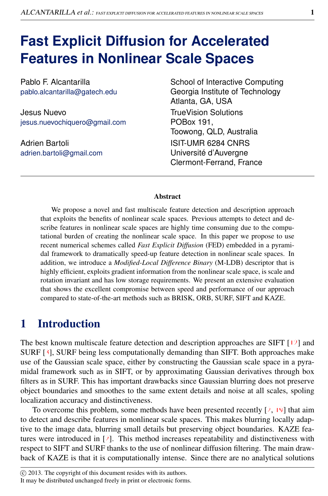# **Fast Explicit Diffusion for Accelerated Features in Nonlinear Scale Spaces**

Pablo F. Alcantarilla pablo.alcantarilla@gatech.edu

Jesus Nuevo jesus.nuevochiquero@gmail.com

Adrien Bartoli adrien.bartoli@gmail.com School of Interactive Computing Georgia Institute of Technology Atlanta, GA, USA TrueVision Solutions POBox 191, Toowong, QLD, Australia ISIT-UMR 6284 CNRS Université d'Auvergne Clermont-Ferrand, France

#### Abstract

We propose a novel and fast multiscale feature detection and description approach that exploits the benefits of nonlinear scale spaces. Previous attempts to detect and describe features in nonlinear scale spaces are highly time consuming due to the computational burden of creating the nonlinear scale space. In this paper we propose to use recent numerical schemes called *Fast Explicit Diffusion* (FED) embedded in a pyramidal framework to dramatically speed-up feature detection in nonlinear scale spaces. In addition, we introduce a *Modified-Local Difference Binary* (M-LDB) descriptor that is highly efficient, exploits gradient information from the nonlinear scale space, is scale and rotation invariant and has low storage requirements. We present an extensive evaluation that shows the excellent compromise between speed and performance of our approach compared to state-of-the-art methods such as BRISK, ORB, SURF, SIFT and KAZE.

# 1 Introduction

The best known multiscale feature detection and description approaches are SIFT  $[12]$  and SURF [3], SURF being less computationally demanding than SIFT. Both approaches make use of the Gaussian scale space, either by constructing the Gaussian scale space in a pyramidal framework such as in SIFT, or by approximating Gaussian derivatives through box filters as in SURF. This has important drawbacks since Gaussian blurring does not preserve object boundaries and smoothes to the same extent details and noise at all scales, spoling localization accuracy and distinctiveness.

To overcome this problem, some methods have been presented recently  $[2, 19]$  that aim to detect and describe features in nonlinear scale spaces. This makes blurring locally adaptive to the image data, blurring small details but preserving object boundaries. KAZE features were introduced in  $[2]$ . This method increases repeatability and distinctiveness with respect to SIFT and SURF thanks to the use of nonlinear diffusion filtering. The main drawback of KAZE is that it is computationally intense. Since there are no analytical solutions

It may be distributed unchanged freely in print or electronic forms.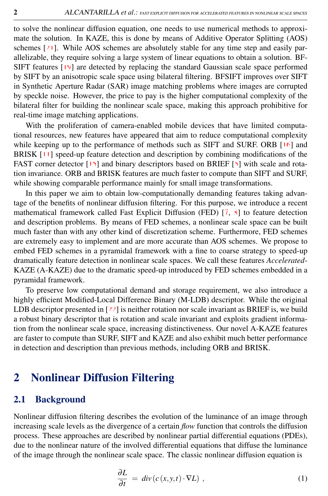to solve the nonlinear diffusion equation, one needs to use numerical methods to approximate the solution. In KAZE, this is done by means of Additive Operator Splitting (AOS) schemes  $[21]$ . While AOS schemes are absolutely stable for any time step and easily parallelizable, they require solving a large system of linear equations to obtain a solution. BF-SIFT features [19] are detected by replacing the standard Gaussian scale space performed by SIFT by an anisotropic scale space using bilateral filtering. BFSIFT improves over SIFT in Synthetic Aperture Radar (SAR) image matching problems where images are corrupted by speckle noise. However, the price to pay is the higher computational complexity of the bilateral filter for building the nonlinear scale space, making this approach prohibitive for real-time image matching applications.

With the proliferation of camera-enabled mobile devices that have limited computational resources, new features have appeared that aim to reduce computational complexity while keeping up to the performance of methods such as SIFT and SURF. ORB [16] and BRISK  $[1]$  speed-up feature detection and description by combining modifications of the FAST corner detector [15] and binary descriptors based on BRIEF [5] with scale and rotation invariance. ORB and BRISK features are much faster to compute than SIFT and SURF, while showing comparable performance mainly for small image transformations.

In this paper we aim to obtain low-computationally demanding features taking advantage of the benefits of nonlinear diffusion filtering. For this purpose, we introduce a recent mathematical framework called Fast Explicit Diffusion (FED)  $\begin{bmatrix} 7, 8 \end{bmatrix}$  to feature detection and description problems. By means of FED schemes, a nonlinear scale space can be built much faster than with any other kind of discretization scheme. Furthermore, FED schemes are extremely easy to implement and are more accurate than AOS schemes. We propose to embed FED schemes in a pyramidal framework with a fine to coarse strategy to speed-up dramatically feature detection in nonlinear scale spaces. We call these features *Accelerated*-KAZE (A-KAZE) due to the dramatic speed-up introduced by FED schemes embedded in a pyramidal framework.

To preserve low computational demand and storage requirement, we also introduce a highly efficient Modified-Local Difference Binary (M-LDB) descriptor. While the original LDB descriptor presented in [22] is neither rotation nor scale invariant as BRIEF is, we build a robust binary descriptor that is rotation and scale invariant and exploits gradient information from the nonlinear scale space, increasing distinctiveness. Our novel A-KAZE features are faster to compute than SURF, SIFT and KAZE and also exhibit much better performance in detection and description than previous methods, including ORB and BRISK.

## 2 Nonlinear Diffusion Filtering

## 2.1 Background

Nonlinear diffusion filtering describes the evolution of the luminance of an image through increasing scale levels as the divergence of a certain *flow* function that controls the diffusion process. These approaches are described by nonlinear partial differential equations (PDEs), due to the nonlinear nature of the involved differential equations that diffuse the luminance of the image through the nonlinear scale space. The classic nonlinear diffusion equation is

<span id="page-1-0"></span>
$$
\frac{\partial L}{\partial t} = \operatorname{div}(c(x, y, t) \cdot \nabla L) , \qquad (1)
$$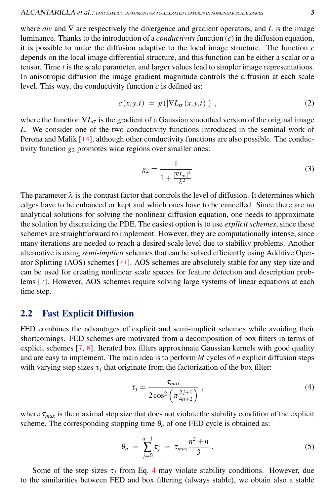where *div* and  $\nabla$  are respectively the divergence and gradient operators, and *L* is the image luminance. Thanks to the introduction of a *conductivity* function (*c*) in the diffusion equation, it is possible to make the diffusion adaptive to the local image structure. The function  $c$ depends on the local image differential structure, and this function can be either a scalar or a tensor. Time *t* is the scale parameter, and larger values lead to simpler image representations. In anisotropic diffusion the image gradient magnitude controls the diffusion at each scale level. This way, the conductivity function *c* is defined as:

$$
c(x, y, t) = g\left(\left|\nabla L_{\sigma}(x, y, t)\right|\right),\tag{2}
$$

where the function  $\nabla L_{\sigma}$  is the gradient of a Gaussian smoothed version of the original image *L*. We consider one of the two conductivity functions introduced in the seminal work of Perona and Malik [14], although other conductivity functions are also possible. The conductivity function  $g_2$  promotes wide regions over smaller ones:

$$
g_2 = \frac{1}{1 + \frac{|\nabla L_{\sigma}|^2}{\lambda^2}}
$$
 (3)

The parameter  $\lambda$  is the contrast factor that controls the level of diffusion. It determines which edges have to be enhanced or kept and which ones have to be cancelled. Since there are no analytical solutions for solving the nonlinear diffusion equation, one needs to approximate the solution by discretizing the PDE. The easiest option is to use *explicit schemes*, since these schemes are straightforward to implement. However, they are computationally intense, since many iterations are needed to reach a desired scale level due to stability problems. Another alternative is using *semi-implicit* schemes that can be solved efficiently using Additive Operator Splitting (AOS) schemes  $[21]$ . AOS schemes are absolutely stable for any step size and can be used for creating nonlinear scale spaces for feature detection and description problems [7]. However, AOS schemes require solving large systems of linear equations at each time step.

### 2.2 Fast Explicit Diffusion

FED combines the advantages of explicit and semi-implicit schemes while avoiding their shortcomings. FED schemes are motivated from a decomposition of box filters in terms of explicit schemes  $\overline{[7, 8]}$ . Iterated box filters approximate Gaussian kernels with good quality and are easy to implement. The main idea is to perform *M* cycles of *n* explicit diffusion steps with varying step sizes  $\tau_j$  that originate from the factorization of the box filter:

<span id="page-2-1"></span><span id="page-2-0"></span>
$$
\tau_j = \frac{\tau_{max}}{2\cos^2\left(\pi \frac{2j+1}{4n+2}\right)}\,,\tag{4}
$$

where  $\tau_{max}$  is the maximal step size that does not violate the stability condition of the explicit scheme. The corresponding stopping time  $\theta_n$  of one FED cycle is obtained as:

$$
\theta_n = \sum_{j=0}^{n-1} \tau_j = \tau_{max} \frac{n^2 + n}{3} \,. \tag{5}
$$

Some of the step sizes  $\tau_j$  from Eq. [4](#page-2-0) may violate stability conditions. However, due to the similarities between FED and box filtering (always stable), we obtain also a stable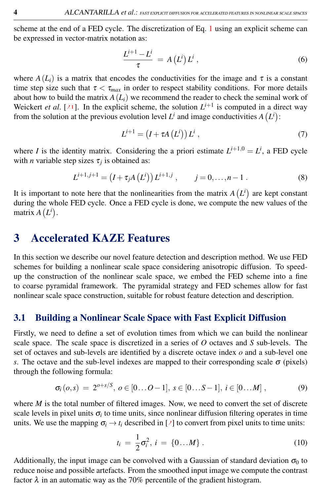scheme at the end of a FED cycle. The discretization of Eq. [1](#page-1-0) using an explicit scheme can be expressed in vector-matrix notation as:

$$
\frac{L^{i+1}-L^i}{\tau} = A(L^i)L^i , \qquad (6)
$$

where  $A(L_i)$  is a matrix that encodes the conductivities for the image and  $\tau$  is a constant time step size such that  $\tau < \tau_{max}$  in order to respect stability conditions. For more details about how to build the matrix  $A(L_i)$  we recommend the reader to check the seminal work of Weickert *et al.* [21]. In the explicit scheme, the solution  $L^{i+1}$  is computed in a direct way from the solution at the previous evolution level  $L^i$  and image conductivities  $A(L^i)$ :

$$
L^{i+1} = (I + \tau A(L^i)) L^i , \qquad (7)
$$

where *I* is the identity matrix. Considering the a priori estimate  $L^{i+1,0} = L^i$ , a FED cycle with *n* variable step sizes  $\tau_j$  is obtained as:

$$
L^{i+1,j+1} = (I + \tau_j A(L^i)) L^{i+1,j}, \qquad j = 0, \dots, n-1.
$$
 (8)

It is important to note here that the nonlinearities from the matrix  $A(L^i)$  are kept constant during the whole FED cycle. Once a FED cycle is done, we compute the new values of the matrix  $A(L^i)$ .

# 3 Accelerated KAZE Features

In this section we describe our novel feature detection and description method. We use FED schemes for building a nonlinear scale space considering anisotropic diffusion. To speedup the construction of the nonlinear scale space, we embed the FED scheme into a fine to coarse pyramidal framework. The pyramidal strategy and FED schemes allow for fast nonlinear scale space construction, suitable for robust feature detection and description.

## 3.1 Building a Nonlinear Scale Space with Fast Explicit Diffusion

Firstly, we need to define a set of evolution times from which we can build the nonlinear scale space. The scale space is discretized in a series of *O* octaves and *S* sub-levels. The set of octaves and sub-levels are identified by a discrete octave index *o* and a sub-level one *s*. The octave and the sub-level indexes are mapped to their corresponding scale  $\sigma$  (pixels) through the following formula:

$$
\sigma_i(o,s) = 2^{o+s/S}, o \in [0...O-1], s \in [0...S-1], i \in [0...M],
$$
\n(9)

where *M* is the total number of filtered images. Now, we need to convert the set of discrete scale levels in pixel units  $\sigma_i$  to time units, since nonlinear diffusion filtering operates in time units. We use the mapping  $\sigma_i \rightarrow t_i$  described in [2] to convert from pixel units to time units:

$$
t_i = \frac{1}{2}\sigma_i^2, i = \{0...M\}.
$$
 (10)

Additionally, the input image can be convolved with a Gaussian of standard deviation  $\sigma_0$  to reduce noise and possible artefacts. From the smoothed input image we compute the contrast factor  $\lambda$  in an automatic way as the 70% percentile of the gradient histogram.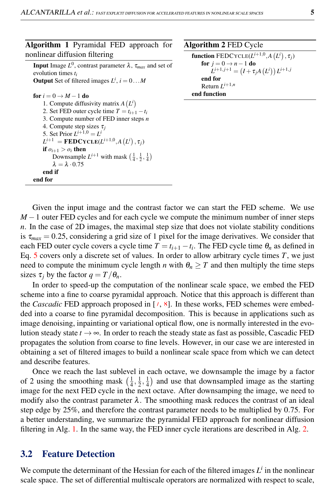Algorithm 1 Pyramidal FED approach for nonlinear diffusion filtering

<span id="page-4-0"></span>**Input** Image  $L^0$ , contrast parameter  $\lambda$ ,  $\tau_{max}$  and set of evolution times *t<sup>i</sup>* **Output** Set of filtered images  $L^i$ ,  $i = 0...M$ 

for  $i = 0 \rightarrow M - 1$  do 1. Compute diffusivity matrix  $A(L^i)$ 2. Set FED outer cycle time  $T = t_{i+1} - t_i$ 3. Compute number of FED inner steps *n* 4. Compute step sizes  $\tau_i$ 5. Set Prior  $L^{i+1,0} = L^i$  $L^{i+1}$  = **FEDCYCLE**( $L^{i+1,0}, A$   $(L^i), \tau_j$ ) if  $o_{i+1} > o_i$  then Downsample  $L^{i+1}$  with mask  $\left(\frac{1}{4}, \frac{1}{2}, \frac{1}{4}\right)$  $\lambda = \lambda \cdot 0.75$ end if end for

<span id="page-4-1"></span>Algorithm 2 FED Cycle function  $\text{FEDCYCLE}(L^{i+1,0}, A(L^{i}), \tau_j)$ for  $j = 0 \rightarrow n-1$  do  $L^{i+1,j+1}=\left(I+\tau_jA\left(L^i\right)\right)L^{i+1,j}$ end for Return  $L^{i+1,n}$ end function

Given the input image and the contrast factor we can start the FED scheme. We use *M* − 1 outer FED cycles and for each cycle we compute the minimum number of inner steps *n*. In the case of 2D images, the maximal step size that does not violate stability conditions is  $\tau_{max} = 0.25$ , considering a grid size of 1 pixel for the image derivatives. We consider that each FED outer cycle covers a cycle time  $T = t_{i+1} - t_i$ . The FED cycle time  $\theta_n$  as defined in Eq. [5](#page-2-1) covers only a discrete set of values. In order to allow arbitrary cycle times *T*, we just need to compute the minimum cycle length *n* with  $\theta_n \geq T$  and then multiply the time steps sizes  $\tau_i$  by the factor  $q = T/\theta_n$ .

In order to speed-up the computation of the nonlinear scale space, we embed the FED scheme into a fine to coarse pyramidal approach. Notice that this approach is different than the *Cascadic* FED approach proposed in [7, 8]. In these works, FED schemes were embedded into a coarse to fine pyramidal decomposition. This is because in applications such as image denoising, inpainting or variational optical flow, one is normally interested in the evolution steady state  $t \to \infty$ . In order to reach the steady state as fast as possible, Cascadic FED propagates the solution from coarse to fine levels. However, in our case we are interested in obtaining a set of filtered images to build a nonlinear scale space from which we can detect and describe features.

Once we reach the last sublevel in each octave, we downsample the image by a factor of 2 using the smoothing mask  $(\frac{1}{4}, \frac{1}{2}, \frac{1}{4})$  and use that downsampled image as the starting image for the next FED cycle in the next octave. After downsamping the image, we need to modify also the contrast parameter  $\lambda$ . The smoothing mask reduces the contrast of an ideal step edge by 25%, and therefore the contrast parameter needs to be multiplied by 0.75. For a better understanding, we summarize the pyramidal FED approach for nonlinear diffusion filtering in Alg. [1.](#page-4-0) In the same way, the FED inner cycle iterations are described in Alg. [2.](#page-4-1)

#### 3.2 Feature Detection

We compute the determinant of the Hessian for each of the filtered images  $L^i$  in the nonlinear scale space. The set of differential multiscale operators are normalized with respect to scale,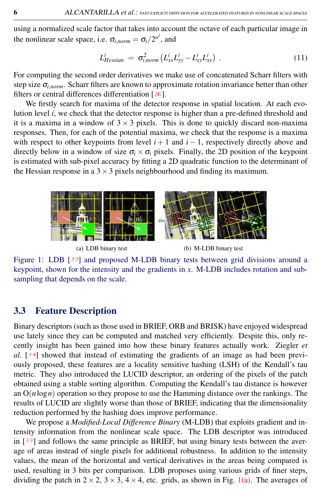using a normalized scale factor that takes into account the octave of each particular image in the nonlinear scale space, i.e.  $\sigma_{i,norm} = \sigma_i/2^{o^i}$ , and

$$
L_{Hessian}^i = \sigma_{i,norm}^2 \left( L_{xx}^i L_{yy}^i - L_{xy}^i L_{xy}^i \right) \,. \tag{11}
$$

For computing the second order derivatives we make use of concatenated Scharr filters with step size σ*i*,*norm*. Scharr filters are known to approximate rotation invariance better than other filters or central differences differentiation [20].

We firstly search for maxima of the detector response in spatial location. At each evolution level *i*, we check that the detector response is higher than a pre-defined threshold and it is a maxima in a window of  $3 \times 3$  pixels. This is done to quickly discard non-maxima responses. Then, for each of the potential maxima, we check that the response is a maxima with respect to other keypoints from level *i* + 1 and *i* − 1, respectively directly above and directly below in a window of size  $\sigma_i \times \sigma_i$  pixels. Finally, the 2D position of the keypoint is estimated with sub-pixel accuracy by fitting a 2D quadratic function to the determinant of the Hessian response in a  $3 \times 3$  pixels neighbourhood and finding its maximum.

<span id="page-5-1"></span><span id="page-5-0"></span>

Figure 1: LDB [22] and proposed M-LDB binary tests between grid divisions around a keypoint, shown for the intensity and the gradients in *x*. M-LDB includes rotation and subsampling that depends on the scale.

## 3.3 Feature Description

Binary descriptors (such as those used in BRIEF, ORB and BRISK) have enjoyed widespread use lately since they can be computed and matched very efficiently. Despite this, only recently insight has been gained into how these binary features actually work. Ziegler *et al.* [23] showed that instead of estimating the gradients of an image as had been previously proposed, these features are a locality sensitive hashing (LSH) of the Kendall's tau metric. They also introduced the LUCID descriptor, an ordering of the pixels of the patch obtained using a stable sorting algorithm. Computing the Kendall's tau distance is however an  $O(n \log n)$  operation so they propose to use the Hamming distance over the rankings. The results of LUCID are slightly worse than those of BRIEF, indicating that the dimensionality reduction performed by the hashing does improve performance.

We propose a *Modified-Local Difference Binary* (M-LDB) that exploits gradient and intensity information from the nonlinear scale space. The LDB descriptor was introduced in  $[22]$  and follows the same principle as BRIEF, but using binary tests between the average of areas instead of single pixels for additional robustness. In addition to the intensity values, the mean of the horizontal and vertical derivatives in the areas being compared is used, resulting in 3 bits per comparison. LDB proposes using various grids of finer steps, dividing the patch in  $2 \times 2$ ,  $3 \times 3$ ,  $4 \times 4$ , etc. grids, as shown in Fig. [1\(a\).](#page-5-0) The averages of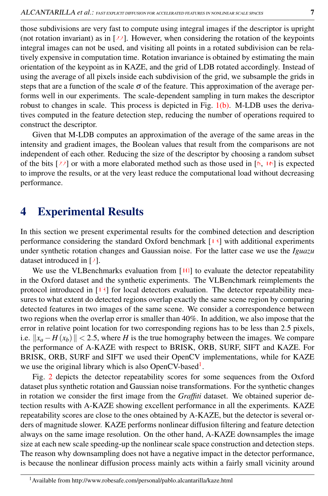those subdivisions are very fast to compute using integral images if the descriptor is upright (not rotation invariant) as in  $[22]$ . However, when considering the rotation of the keypoints integral images can not be used, and visiting all points in a rotated subdivision can be relatively expensive in computation time. Rotation invariance is obtained by estimating the main orientation of the keypoint as in KAZE, and the grid of LDB rotated accordingly. Instead of using the average of all pixels inside each subdivision of the grid, we subsample the grids in steps that are a function of the scale  $\sigma$  of the feature. This approximation of the average performs well in our experiments. The scale-dependent sampling in turn makes the descriptor robust to changes in scale. This process is depicted in Fig. [1\(b\).](#page-5-1) M-LDB uses the derivatives computed in the feature detection step, reducing the number of operations required to construct the descriptor.

Given that M-LDB computes an approximation of the average of the same areas in the intensity and gradient images, the Boolean values that result from the comparisons are not independent of each other. Reducing the size of the descriptor by choosing a random subset of the bits  $[22]$  or with a more elaborated method such as those used in  $[6, 16]$  is expected to improve the results, or at the very least reduce the computational load without decreasing performance.

## 4 Experimental Results

In this section we present experimental results for the combined detection and description performance considering the standard Oxford benchmark [13] with additional experiments under synthetic rotation changes and Gaussian noise. For the latter case we use the *Iguazu* dataset introduced in [2].

We use the VLBenchmarks evaluation from [10] to evaluate the detector repeatability in the Oxford dataset and the synthetic experiments. The VLBenchmark reimplements the protocol introduced in [13] for local detectors evaluation. The detector repeatability measures to what extent do detected regions overlap exactly the same scene region by comparing detected features in two images of the same scene. We consider a correspondence between two regions when the overlap error is smaller than 40%. In addition, we also impose that the error in relative point location for two corresponding regions has to be less than 2.5 pixels, i.e.  $||x_a - H(x_b)|| < 2.5$ , where *H* is the true homography between the images. We compare the performance of A-KAZE with respect to BRISK, ORB, SURF, SIFT and KAZE. For BRISK, ORB, SURF and SIFT we used their OpenCV implementations, while for KAZE we use the original library which is also OpenCV-based<sup>[1](#page-6-0)</sup>.

Fig. [2](#page-7-0) depicts the detector repeatability scores for some sequences from the Oxford dataset plus synthetic rotation and Gaussian noise transformations. For the synthetic changes in rotation we consider the first image from the *Graffiti* dataset. We obtained superior detection results with A-KAZE showing excellent performance in all the experiments. KAZE repeatability scores are close to the ones obtained by A-KAZE, but the detector is several orders of magnitude slower. KAZE performs nonlinear diffusion filtering and feature detection always on the same image resolution. On the other hand, A-KAZE downsamples the image size at each new scale speeding-up the nonlinear scale space construction and detection steps. The reason why downsampling does not have a negative impact in the detector performance, is because the nonlinear diffusion process mainly acts within a fairly small vicinity around

<span id="page-6-0"></span><sup>1</sup>Available from http://www.robesafe.com/personal/pablo.alcantarilla/kaze.html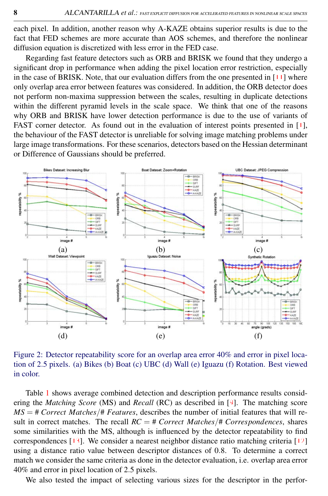each pixel. In addition, another reason why A-KAZE obtains superior results is due to the fact that FED schemes are more accurate than AOS schemes, and therefore the nonlinear diffusion equation is discretized with less error in the FED case.

Regarding fast feature detectors such as ORB and BRISK we found that they undergo a significant drop in performance when adding the pixel location error restriction, especially in the case of BRISK. Note, that our evaluation differs from the one presented in [11] where only overlap area error between features was considered. In addition, the ORB detector does not perform non-maxima suppression between the scales, resulting in duplicate detections within the different pyramid levels in the scale space. We think that one of the reasons why ORB and BRISK have lower detection performance is due to the use of variants of FAST corner detector. As found out in the evaluation of interest points presented in [1], the behaviour of the FAST detector is unreliable for solving image matching problems under large image transformations. For these scenarios, detectors based on the Hessian determinant or Difference of Gaussians should be preferred.



<span id="page-7-0"></span>Figure 2: Detector repeatability score for an overlap area error 40% and error in pixel location of 2.5 pixels. (a) Bikes (b) Boat (c) UBC (d) Wall (e) Iguazu (f) Rotation. Best viewed in color.

Table [1](#page-8-0) shows average combined detection and description performance results considering the *Matching Score* (MS) and *Recall* (RC) as described in [9]. The matching score *MS* = # *Correct Matches*/# *Features*, describes the number of initial features that will result in correct matches. The recall  $RC = # Correct Matches/H Correspondences$ , shares some similarities with the MS, although is influenced by the detector repeatability to find correspondences [13]. We consider a nearest neighbor distance ratio matching criteria [12] using a distance ratio value between descriptor distances of 0.8. To determine a correct match we consider the same criteria as done in the detector evaluation, i.e. overlap area error 40% and error in pixel location of 2.5 pixels.

We also tested the impact of selecting various sizes for the descriptor in the perfor-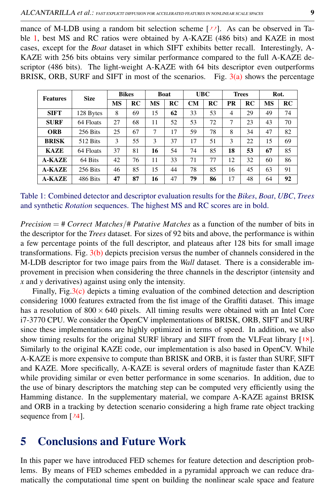mance of M-LDB using a random bit selection scheme [22]. As can be observed in Table [1,](#page-8-0) best MS and RC ratios were obtained by A-KAZE (486 bits) and KAZE in most cases, except for the *Boat* dataset in which SIFT exhibits better recall. Interestingly, A-KAZE with 256 bits obtains very similar performance compared to the full A-KAZE descriptor (486 bits). The light-weight A-KAZE with 64 bits descriptor even outperforms BRISK, ORB, SURF and SIFT in most of the scenarios. Fig.  $3(a)$  shows the percentage

| <b>Features</b> | <b>Size</b> | <b>Bikes</b> |    | <b>Boat</b> |    | <b>UBC</b> |    | <b>Trees</b> |    | Rot.      |    |
|-----------------|-------------|--------------|----|-------------|----|------------|----|--------------|----|-----------|----|
|                 |             | <b>MS</b>    | RC | <b>MS</b>   | RC | CM         | RC | PR           | RC | <b>MS</b> | RC |
| <b>SIFT</b>     | 128 Bytes   | 8            | 69 | 15          | 62 | 33         | 53 | 4            | 29 | 49        | 74 |
| <b>SURF</b>     | 64 Floats   | 27           | 68 | 11          | 52 | 53         | 72 | 7            | 23 | 43        | 70 |
| <b>ORB</b>      | 256 Bits    | 25           | 67 | 7           | 17 | 59         | 78 | 8            | 34 | 47        | 82 |
| <b>BRISK</b>    | 512 Bits    | 3            | 55 | 3           | 37 | 17         | 51 | 3            | 22 | 15        | 69 |
| <b>KAZE</b>     | 64 Floats   | 37           | 81 | 16          | 54 | 74         | 85 | 18           | 53 | 67        | 85 |
| <b>A-KAZE</b>   | 64 Bits     | 42           | 76 | 11          | 33 | 71         | 77 | 12           | 32 | 60        | 86 |
| <b>A-KAZE</b>   | 256 Bits    | 46           | 85 | 15          | 44 | 78         | 85 | 16           | 45 | 63        | 91 |
| <b>A-KAZE</b>   | 486 Bits    | 47           | 87 | 16          | 47 | 79         | 86 | 17           | 48 | 64        | 92 |

<span id="page-8-0"></span>Table 1: Combined detector and descriptor evaluation results for the *Bikes*, *Boat*, *UBC*, *Trees* and synthetic *Rotation* sequences. The highest MS and RC scores are in bold.

*Precision* = # *Correct Matches*/# *Putative Matches* as a function of the number of bits in the descriptor for the *Trees* dataset. For sizes of 92 bits and above, the performance is within a few percentage points of the full descriptor, and plateaus after 128 bits for small image transformations. Fig.  $3(b)$  depicts precision versus the number of channels considered in the M-LDB descriptor for two image pairs from the *Wall* dataset. There is a considerable improvement in precision when considering the three channels in the descriptor (intensity and *x* and *y* derivatives) against using only the intensity.

Finally, Fig. $3(c)$  depicts a timing evaluation of the combined detection and description considering 1000 features extracted from the fist image of the Graffiti dataset. This image has a resolution of  $800 \times 640$  pixels. All timing results were obtained with an Intel Core i7-3770 CPU. We consider the OpenCV implementations of BRISK, ORB, SIFT and SURF since these implementations are highly optimized in terms of speed. In addition, we also show timing results for the original SURF library and SIFT from the VLFeat library [18]. Similarly to the original KAZE code, our implementation is also based in OpenCV. While A-KAZE is more expensive to compute than BRISK and ORB, it is faster than SURF, SIFT and KAZE. More specifically, A-KAZE is several orders of magnitude faster than KAZE while providing similar or even better performance in some scenarios. In addition, due to the use of binary descriptors the matching step can be computed very efficiently using the Hamming distance. In the supplementary material, we compare A-KAZE against BRISK and ORB in a tracking by detection scenario considering a high frame rate object tracking sequence from [24].

# 5 Conclusions and Future Work

In this paper we have introduced FED schemes for feature detection and description problems. By means of FED schemes embedded in a pyramidal approach we can reduce dramatically the computational time spent on building the nonlinear scale space and feature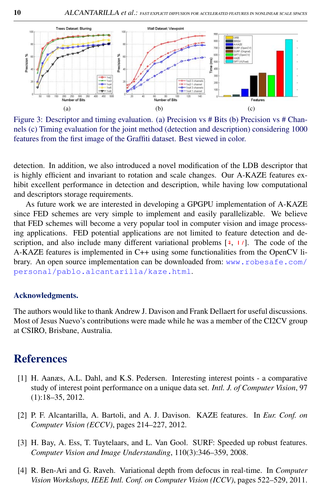<span id="page-9-0"></span>

<span id="page-9-2"></span><span id="page-9-1"></span>Figure 3: Descriptor and timing evaluation. (a) Precision vs # Bits (b) Precision vs # Channels (c) Timing evaluation for the joint method (detection and description) considering 1000 features from the first image of the Graffiti dataset. Best viewed in color.

detection. In addition, we also introduced a novel modification of the LDB descriptor that is highly efficient and invariant to rotation and scale changes. Our A-KAZE features exhibit excellent performance in detection and description, while having low computational and descriptors storage requirements.

As future work we are interested in developing a GPGPU implementation of A-KAZE since FED schemes are very simple to implement and easily parallelizable. We believe that FED schemes will become a very popular tool in computer vision and image processing applications. FED potential applications are not limited to feature detection and description, and also include many different variational problems  $[4, 17]$ . The code of the A-KAZE features is implemented in C++ using some functionalities from the OpenCV library. An open source implementation can be downloaded from: [www.robesafe.com/](www.robesafe.com/personal/pablo.alcantarilla/kaze.html) [personal/pablo.alcantarilla/kaze.html](www.robesafe.com/personal/pablo.alcantarilla/kaze.html).

#### Acknowledgments.

The authors would like to thank Andrew J. Davison and Frank Dellaert for useful discussions. Most of Jesus Nuevo's contributions were made while he was a member of the CI2CV group at CSIRO, Brisbane, Australia.

## **References**

- [1] H. Aanæs, A.L. Dahl, and K.S. Pedersen. Interesting interest points a comparative study of interest point performance on a unique data set. *Intl. J. of Computer Vision*, 97 (1):18–35, 2012.
- [2] P. F. Alcantarilla, A. Bartoli, and A. J. Davison. KAZE features. In *Eur. Conf. on Computer Vision (ECCV)*, pages 214–227, 2012.
- [3] H. Bay, A. Ess, T. Tuytelaars, and L. Van Gool. SURF: Speeded up robust features. *Computer Vision and Image Understanding*, 110(3):346–359, 2008.
- [4] R. Ben-Ari and G. Raveh. Variational depth from defocus in real-time. In *Computer Vision Workshops, IEEE Intl. Conf. on Computer Vision (ICCV)*, pages 522–529, 2011.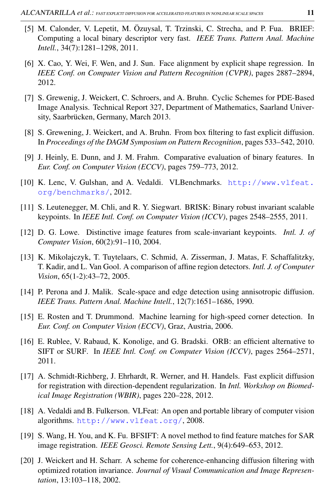- [5] M. Calonder, V. Lepetit, M. Özuysal, T. Trzinski, C. Strecha, and P. Fua. BRIEF: Computing a local binary descriptor very fast. *IEEE Trans. Pattern Anal. Machine Intell.*, 34(7):1281–1298, 2011.
- [6] X. Cao, Y. Wei, F. Wen, and J. Sun. Face alignment by explicit shape regression. In *IEEE Conf. on Computer Vision and Pattern Recognition (CVPR)*, pages 2887–2894, 2012.
- [7] S. Grewenig, J. Weickert, C. Schroers, and A. Bruhn. Cyclic Schemes for PDE-Based Image Analysis. Technical Report 327, Department of Mathematics, Saarland University, Saarbrücken, Germany, March 2013.
- [8] S. Grewening, J. Weickert, and A. Bruhn. From box filtering to fast explicit diffusion. In *Proceedings of the DAGM Symposium on Pattern Recognition*, pages 533–542, 2010.
- [9] J. Heinly, E. Dunn, and J. M. Frahm. Comparative evaluation of binary features. In *Eur. Conf. on Computer Vision (ECCV)*, pages 759–773, 2012.
- [10] K. Lenc, V. Gulshan, and A. Vedaldi. VLBenchmarks. [http://www.vlfeat.](http://www.vlfeat.org/benchmarks/) [org/benchmarks/](http://www.vlfeat.org/benchmarks/), 2012.
- [11] S. Leutenegger, M. Chli, and R. Y. Siegwart. BRISK: Binary robust invariant scalable keypoints. In *IEEE Intl. Conf. on Computer Vision (ICCV)*, pages 2548–2555, 2011.
- [12] D. G. Lowe. Distinctive image features from scale-invariant keypoints. *Intl. J. of Computer Vision*, 60(2):91–110, 2004.
- [13] K. Mikolajczyk, T. Tuytelaars, C. Schmid, A. Zisserman, J. Matas, F. Schaffalitzky, T. Kadir, and L. Van Gool. A comparison of affine region detectors. *Intl. J. of Computer Vision*, 65(1-2):43–72, 2005.
- [14] P. Perona and J. Malik. Scale-space and edge detection using annisotropic diffusion. *IEEE Trans. Pattern Anal. Machine Intell.*, 12(7):1651–1686, 1990.
- [15] E. Rosten and T. Drummond. Machine learning for high-speed corner detection. In *Eur. Conf. on Computer Vision (ECCV)*, Graz, Austria, 2006.
- [16] E. Rublee, V. Rabaud, K. Konolige, and G. Bradski. ORB: an efficient alternative to SIFT or SURF. In *IEEE Intl. Conf. on Computer Vision (ICCV)*, pages 2564–2571, 2011.
- [17] A. Schmidt-Richberg, J. Ehrhardt, R. Werner, and H. Handels. Fast explicit diffusion for registration with direction-dependent regularization. In *Intl. Workshop on Biomedical Image Registration (WBIR)*, pages 220–228, 2012.
- [18] A. Vedaldi and B. Fulkerson. VLFeat: An open and portable library of computer vision algorithms. <http://www.vlfeat.org/>, 2008.
- [19] S. Wang, H. You, and K. Fu. BFSIFT: A novel method to find feature matches for SAR image registration. *IEEE Geosci. Remote Sensing Lett.*, 9(4):649–653, 2012.
- [20] J. Weickert and H. Scharr. A scheme for coherence-enhancing diffusion filtering with optimized rotation invariance. *Journal of Visual Communication and Image Representation*, 13:103–118, 2002.